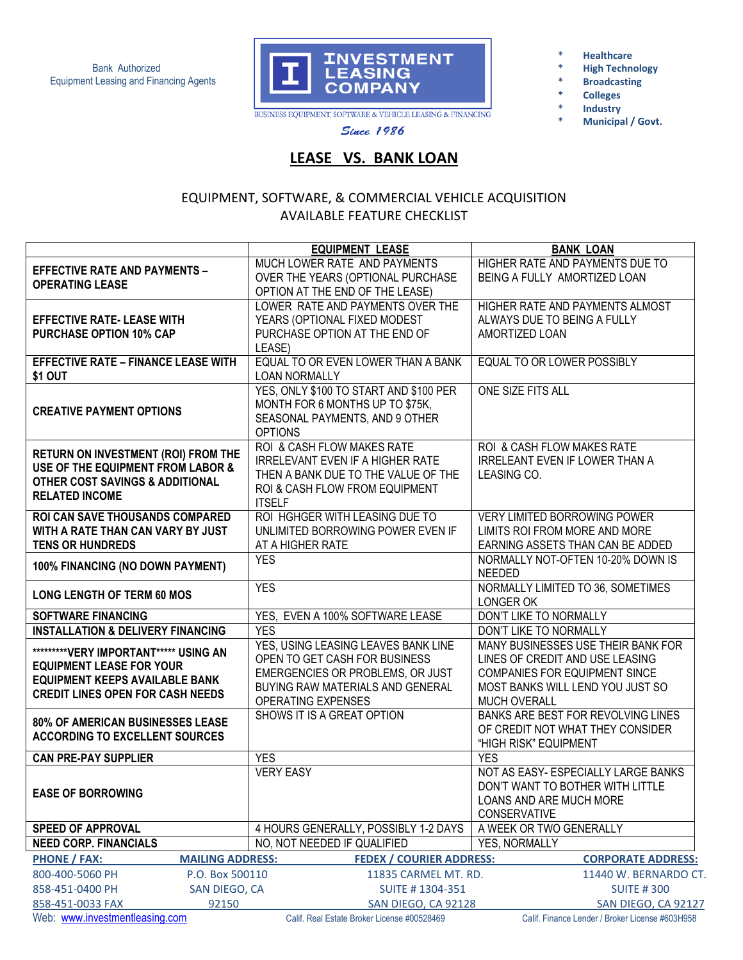Bank Authorized Equipment Leasing and Financing Agents



**\* Healthcare** 

- **High Technology**
- **\* Broadcasting**
- **\* Colleges**
- **\* Industry** 
	- **\* Municipal / Govt.**

**Since 1986** 

## **LEASE VS. BANK LOAN**

## EQUIPMENT, SOFTWARE, & COMMERCIAL VEHICLE ACQUISITION AVAILABLE FEATURE CHECKLIST

|                                                | <b>EQUIPMENT LEASE</b>                      | <b>BANK LOAN</b>                                |
|------------------------------------------------|---------------------------------------------|-------------------------------------------------|
| <b>EFFECTIVE RATE AND PAYMENTS -</b>           | MUCH LOWER RATE AND PAYMENTS                | HIGHER RATE AND PAYMENTS DUE TO                 |
| <b>OPERATING LEASE</b>                         | OVER THE YEARS (OPTIONAL PURCHASE           | BEING A FULLY AMORTIZED LOAN                    |
|                                                | OPTION AT THE END OF THE LEASE)             |                                                 |
|                                                | LOWER RATE AND PAYMENTS OVER THE            | HIGHER RATE AND PAYMENTS ALMOST                 |
| <b>EFFECTIVE RATE- LEASE WITH</b>              | YEARS (OPTIONAL FIXED MODEST                | ALWAYS DUE TO BEING A FULLY                     |
| <b>PURCHASE OPTION 10% CAP</b>                 | PURCHASE OPTION AT THE END OF               | AMORTIZED LOAN                                  |
|                                                | LEASE)                                      |                                                 |
| <b>EFFECTIVE RATE - FINANCE LEASE WITH</b>     | EQUAL TO OR EVEN LOWER THAN A BANK          | EQUAL TO OR LOWER POSSIBLY                      |
| \$1 OUT                                        | <b>LOAN NORMALLY</b>                        |                                                 |
|                                                | YES, ONLY \$100 TO START AND \$100 PER      | ONE SIZE FITS ALL                               |
| <b>CREATIVE PAYMENT OPTIONS</b>                | MONTH FOR 6 MONTHS UP TO \$75K,             |                                                 |
|                                                | SEASONAL PAYMENTS, AND 9 OTHER              |                                                 |
|                                                | <b>OPTIONS</b>                              |                                                 |
|                                                | ROI & CASH FLOW MAKES RATE                  | ROI & CASH FLOW MAKES RATE                      |
| RETURN ON INVESTMENT (ROI) FROM THE            | <b>IRRELEVANT EVEN IF A HIGHER RATE</b>     | <b>IRRELEANT EVEN IF LOWER THAN A</b>           |
| USE OF THE EQUIPMENT FROM LABOR &              | THEN A BANK DUE TO THE VALUE OF THE         | LEASING CO.                                     |
| OTHER COST SAVINGS & ADDITIONAL                | ROI & CASH FLOW FROM EQUIPMENT              |                                                 |
| <b>RELATED INCOME</b>                          | <b>ITSELF</b>                               |                                                 |
| <b>ROI CAN SAVE THOUSANDS COMPARED</b>         | ROI HGHGER WITH LEASING DUE TO              | VERY LIMITED BORROWING POWER                    |
| WITH A RATE THAN CAN VARY BY JUST              | UNLIMITED BORROWING POWER EVEN IF           | LIMITS ROI FROM MORE AND MORE                   |
| <b>TENS OR HUNDREDS</b>                        | AT A HIGHER RATE                            | EARNING ASSETS THAN CAN BE ADDED                |
|                                                | <b>YES</b>                                  | NORMALLY NOT-OFTEN 10-20% DOWN IS               |
| 100% FINANCING (NO DOWN PAYMENT)               |                                             | <b>NEEDED</b>                                   |
|                                                | <b>YES</b>                                  | NORMALLY LIMITED TO 36, SOMETIMES               |
| <b>LONG LENGTH OF TERM 60 MOS</b>              |                                             | LONGER OK                                       |
| <b>SOFTWARE FINANCING</b>                      | YES, EVEN A 100% SOFTWARE LEASE             | DON'T LIKE TO NORMALLY                          |
| <b>INSTALLATION &amp; DELIVERY FINANCING</b>   | <b>YES</b>                                  | DON'T LIKE TO NORMALLY                          |
|                                                | YES, USING LEASING LEAVES BANK LINE         | MANY BUSINESSES USE THEIR BANK FOR              |
| *********VERY IMPORTANT***** USING AN          | OPEN TO GET CASH FOR BUSINESS               | LINES OF CREDIT AND USE LEASING                 |
| <b>EQUIPMENT LEASE FOR YOUR</b>                | EMERGENCIES OR PROBLEMS, OR JUST            | <b>COMPANIES FOR EQUIPMENT SINCE</b>            |
| <b>EQUIPMENT KEEPS AVAILABLE BANK</b>          | BUYING RAW MATERIALS AND GENERAL            | MOST BANKS WILL LEND YOU JUST SO                |
| <b>CREDIT LINES OPEN FOR CASH NEEDS</b>        | OPERATING EXPENSES                          | <b>MUCH OVERALL</b>                             |
|                                                | SHOWS IT IS A GREAT OPTION                  | BANKS ARE BEST FOR REVOLVING LINES              |
| <b>80% OF AMERICAN BUSINESSES LEASE</b>        |                                             | OF CREDIT NOT WHAT THEY CONSIDER                |
| <b>ACCORDING TO EXCELLENT SOURCES</b>          |                                             | "HIGH RISK" EQUIPMENT                           |
| <b>CAN PRE-PAY SUPPLIER</b>                    | <b>YES</b>                                  | <b>YES</b>                                      |
|                                                | <b>VERY EASY</b>                            | NOT AS EASY- ESPECIALLY LARGE BANKS             |
|                                                |                                             | DON'T WANT TO BOTHER WITH LITTLE                |
| <b>EASE OF BORROWING</b>                       |                                             | LOANS AND ARE MUCH MORE                         |
|                                                |                                             | <b>CONSERVATIVE</b>                             |
| <b>SPEED OF APPROVAL</b>                       | 4 HOURS GENERALLY, POSSIBLY 1-2 DAYS        | A WEEK OR TWO GENERALLY                         |
| <b>NEED CORP. FINANCIALS</b>                   | NO, NOT NEEDED IF QUALIFIED                 | YES, NORMALLY                                   |
| <b>PHONE / FAX:</b><br><b>MAILING ADDRESS:</b> | <b>FEDEX / COURIER ADDRESS:</b>             | <b>CORPORATE ADDRESS:</b>                       |
|                                                |                                             | 11440 W. BERNARDO CT.                           |
| 800-400-5060 PH<br>P.O. Box 500110             | 11835 CARMEL MT. RD.                        |                                                 |
| 858-451-0400 PH<br>SAN DIEGO, CA               | SUITE #1304-351                             | <b>SUITE #300</b>                               |
| 858-451-0033 FAX<br>92150                      | SAN DIEGO, CA 92128                         | SAN DIEGO, CA 92127                             |
| Web: www.investmentleasing.com                 | Calif. Real Estate Broker License #00528469 | Calif. Finance Lender / Broker License #603H958 |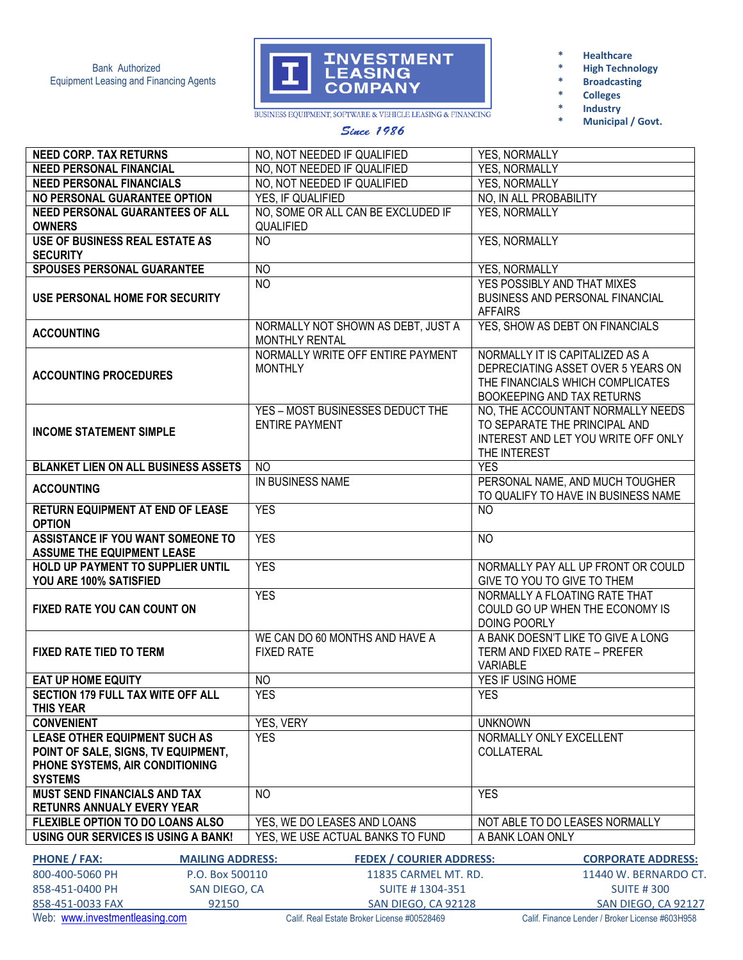

- **\* Healthcare**
- **\* High Technology**
- **\* Broadcasting**
- **\* Colleges**
- **\* Industry** 
	- **\* Municipal / Govt.**

BUSINESS EQUIPMENT, SOFTWARE & VEHICLE LEASING & FINANCING

| Since 1986 |  |
|------------|--|
|            |  |

|                                                                                          | NO, NOT NEEDED IF QUALIFIED                               |                                                                                                                                         |
|------------------------------------------------------------------------------------------|-----------------------------------------------------------|-----------------------------------------------------------------------------------------------------------------------------------------|
| <b>NEED CORP. TAX RETURNS</b><br><b>NEED PERSONAL FINANCIAL</b>                          | NO, NOT NEEDED IF QUALIFIED                               | <b>YES, NORMALLY</b><br><b>YES, NORMALLY</b>                                                                                            |
| <b>NEED PERSONAL FINANCIALS</b>                                                          | NO, NOT NEEDED IF QUALIFIED                               | <b>YES, NORMALLY</b>                                                                                                                    |
| NO PERSONAL GUARANTEE OPTION                                                             | YES, IF QUALIFIED                                         | NO, IN ALL PROBABILITY                                                                                                                  |
|                                                                                          |                                                           |                                                                                                                                         |
| NEED PERSONAL GUARANTEES OF ALL<br><b>OWNERS</b>                                         | NO, SOME OR ALL CAN BE EXCLUDED IF<br>QUALIFIED           | YES, NORMALLY                                                                                                                           |
| <b>USE OF BUSINESS REAL ESTATE AS</b><br><b>SECURITY</b>                                 | <b>NO</b>                                                 | YES, NORMALLY                                                                                                                           |
| <b>SPOUSES PERSONAL GUARANTEE</b>                                                        | <b>NO</b>                                                 | YES, NORMALLY                                                                                                                           |
| USE PERSONAL HOME FOR SECURITY                                                           | $\overline{NO}$                                           | YES POSSIBLY AND THAT MIXES<br><b>BUSINESS AND PERSONAL FINANCIAL</b><br><b>AFFAIRS</b>                                                 |
| <b>ACCOUNTING</b>                                                                        | NORMALLY NOT SHOWN AS DEBT, JUST A<br>MONTHLY RENTAL      | YES, SHOW AS DEBT ON FINANCIALS                                                                                                         |
| <b>ACCOUNTING PROCEDURES</b>                                                             | NORMALLY WRITE OFF ENTIRE PAYMENT<br><b>MONTHLY</b>       | NORMALLY IT IS CAPITALIZED AS A<br>DEPRECIATING ASSET OVER 5 YEARS ON<br>THE FINANCIALS WHICH COMPLICATES<br>BOOKEEPING AND TAX RETURNS |
| <b>INCOME STATEMENT SIMPLE</b>                                                           | YES - MOST BUSINESSES DEDUCT THE<br><b>ENTIRE PAYMENT</b> | NO, THE ACCOUNTANT NORMALLY NEEDS<br>TO SEPARATE THE PRINCIPAL AND<br>INTEREST AND LET YOU WRITE OFF ONLY<br>THE INTEREST               |
| <b>BLANKET LIEN ON ALL BUSINESS ASSETS</b>                                               | <b>NO</b>                                                 | <b>YES</b>                                                                                                                              |
| <b>ACCOUNTING</b>                                                                        | IN BUSINESS NAME                                          | PERSONAL NAME, AND MUCH TOUGHER<br>TO QUALIFY TO HAVE IN BUSINESS NAME                                                                  |
| <b>RETURN EQUIPMENT AT END OF LEASE</b><br><b>OPTION</b>                                 | <b>YES</b>                                                | <b>NO</b>                                                                                                                               |
| ASSISTANCE IF YOU WANT SOMEONE TO<br><b>ASSUME THE EQUIPMENT LEASE</b>                   | <b>YES</b>                                                | <b>NO</b>                                                                                                                               |
| HOLD UP PAYMENT TO SUPPLIER UNTIL                                                        | <b>YES</b>                                                | NORMALLY PAY ALL UP FRONT OR COULD                                                                                                      |
| YOU ARE 100% SATISFIED                                                                   |                                                           | GIVE TO YOU TO GIVE TO THEM                                                                                                             |
| <b>FIXED RATE YOU CAN COUNT ON</b>                                                       | <b>YES</b>                                                | NORMALLY A FLOATING RATE THAT<br>COULD GO UP WHEN THE ECONOMY IS<br>DOING POORLY                                                        |
| <b>FIXED RATE TIED TO TERM</b>                                                           | WE CAN DO 60 MONTHS AND HAVE A<br><b>FIXED RATE</b>       | A BANK DOESN'T LIKE TO GIVE A LONG<br>TERM AND FIXED RATE - PREFER<br><b>VARIABLE</b>                                                   |
| L<br><b>EAT UP HOME EQUITY</b>                                                           | <b>NO</b>                                                 | YES IF USING HOME                                                                                                                       |
| <b>SECTION 179 FULL TAX WITE OFF ALL</b><br><b>THIS YEAR</b>                             | <b>YES</b>                                                | <b>YES</b>                                                                                                                              |
| <b>CONVENIENT</b>                                                                        | YES, VERY                                                 | <b>UNKNOWN</b>                                                                                                                          |
| <b>LEASE OTHER EQUIPMENT SUCH AS</b>                                                     | <b>YES</b>                                                | NORMALLY ONLY EXCELLENT                                                                                                                 |
| POINT OF SALE, SIGNS, TV EQUIPMENT,<br>PHONE SYSTEMS, AIR CONDITIONING<br><b>SYSTEMS</b> |                                                           | COLLATERAL                                                                                                                              |
| <b>MUST SEND FINANCIALS AND TAX</b><br><b>RETUNRS ANNUALY EVERY YEAR</b>                 | <b>NO</b>                                                 | <b>YES</b>                                                                                                                              |
| <b>FLEXIBLE OPTION TO DO LOANS ALSO</b>                                                  | YES, WE DO LEASES AND LOANS                               | NOT ABLE TO DO LEASES NORMALLY                                                                                                          |
| USING OUR SERVICES IS USING A BANK!                                                      | YES, WE USE ACTUAL BANKS TO FUND                          | A BANK LOAN ONLY                                                                                                                        |
|                                                                                          |                                                           |                                                                                                                                         |
| <b>PHONE / FAX:</b><br><b>MAILING ADDRESS:</b>                                           | <b>FEDEX / COURIER ADDRESS:</b>                           | <b>CORPORATE ADDRESS:</b>                                                                                                               |
| 800-400-5060 PH<br>P.O. Box 500110                                                       | 11835 CARMEL MT. RD.                                      | 11440 W. BERNARDO CT.                                                                                                                   |

| 800-400-5060 PH                | P.O. Box 500110 | 11835 CARMEL MT. RD.                        | 11440 W. BERNARDO CT.                           |
|--------------------------------|-----------------|---------------------------------------------|-------------------------------------------------|
| 858-451-0400 PH                | SAN DIEGO, CA   | SUITE #1304-351                             | <b>SUITE #300</b>                               |
| 858-451-0033 FAX               | 92150           | SAN DIEGO, CA 92128                         | SAN DIEGO. CA 92127                             |
| Web: www.investmentleasing.com |                 | Calif. Real Estate Broker License #00528469 | Calif, Finance Lender / Broker License #603H958 |